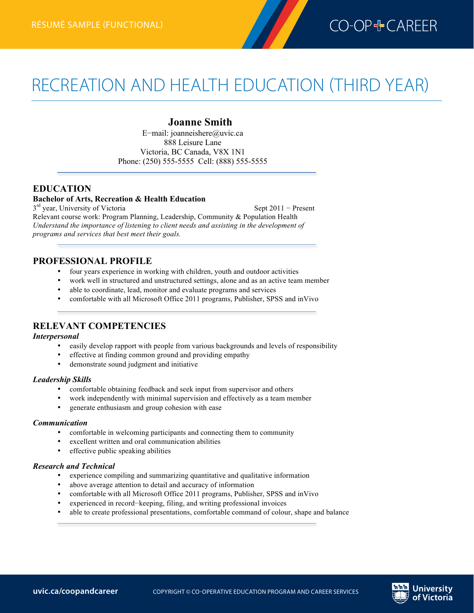

# RECREATION AND HEALTH EDUCATION (THIRD YEAR)

### **Joanne Smith**

E−mail: joanneishere@uvic.ca 888 Leisure Lane Victoria, BC Canada, V8X 1N1 Phone: (250) 555-5555 Cell: (888) 555-5555

# **EDUCATION**

**Recreation and Health Educaton résumé (third year)—functional**

### **Bachelor of Arts, Recreation & Health Education**

3<sup>rd</sup> year, University of Victoria Sept 2011 − Present Relevant course work: Program Planning, Leadership, Community & Population Health *Understand the importance of listening to client needs and assisting in the development of programs and services that best meet their goals.*

#### **PROFESSIONAL PROFILE**

- four years experience in working with children, youth and outdoor activities
- work well in structured and unstructured settings, alone and as an active team member
- able to coordinate, lead, monitor and evaluate programs and services
- comfortable with all Microsoft Office 2011 programs, Publisher, SPSS and inVivo

### **RELEVANT COMPETENCIES**

#### *Interpersonal*

- easily develop rapport with people from various backgrounds and levels of responsibility
- effective at finding common ground and providing empathy
- demonstrate sound judgment and initiative

#### *Leadership Skills*

- comfortable obtaining feedback and seek input from supervisor and others
- work independently with minimal supervision and effectively as a team member
- generate enthusiasm and group cohesion with ease

#### *Communication*

- comfortable in welcoming participants and connecting them to community
- excellent written and oral communication abilities
- effective public speaking abilities

#### *Research and Technical*

- experience compiling and summarizing quantitative and qualitative information
- above average attention to detail and accuracy of information
- comfortable with all Microsoft Office 2011 programs, Publisher, SPSS and inVivo
- experienced in record−keeping, filing, and writing professional invoices
- able to create professional presentations, comfortable command of colour, shape and balance